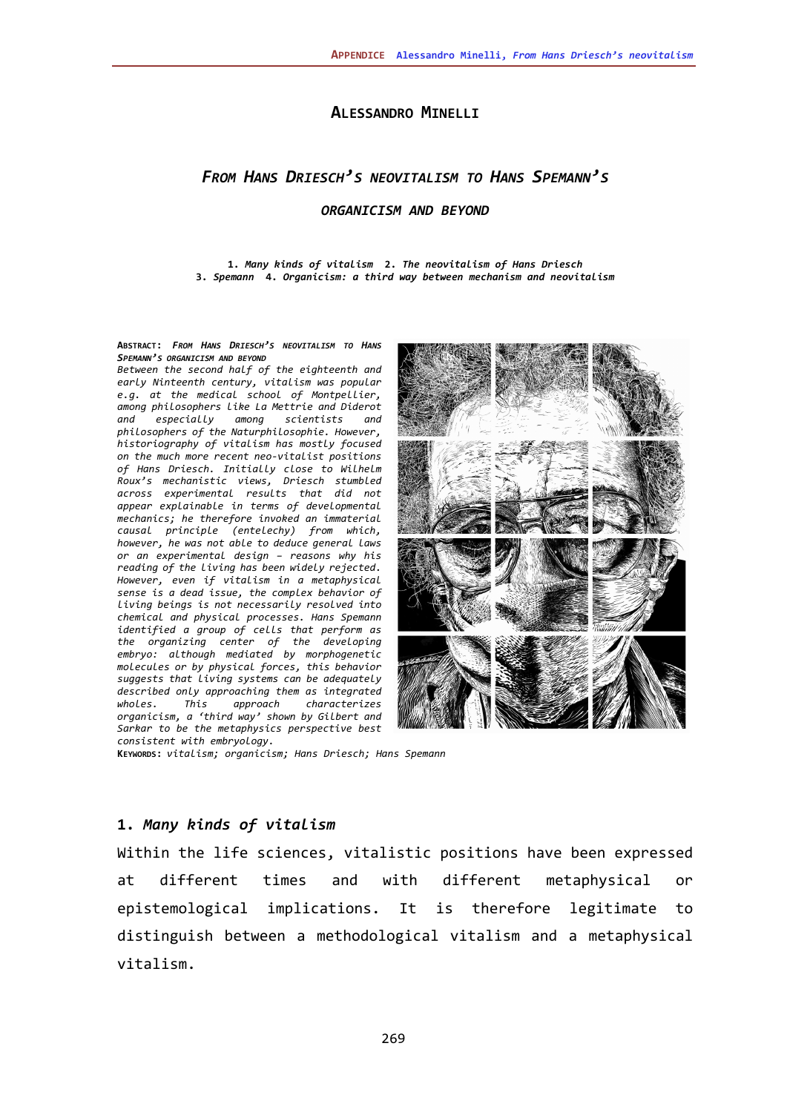## **ALESSANDRO MINELLI**

# *FROM HANS DRIESCH'S NEOVITALISM TO HANS SPEMANN'S*

#### *ORGANICISM AND BEYOND*

**1.** *Many kinds of vitalism* **2.** *The neovitalism of Hans Driesch* **3.** *Spemann* **4.** *Organicism: a third way between mechanism and neovitalism*

**ABSTRACT:** *FROM HANS DRIESCH'S NEOVITALISM TO HANS SPEMANN'S ORGANICISM AND BEYOND*

*Between the second half of the eighteenth and early Ninteenth century, vitalism was popular e.g. at the medical school of Montpellier, among philosophers like La Mettrie and Diderot and especially among scientists and philosophers of the Naturphilosophie. However, historiography of vitalism has mostly focused on the much more recent neo-vitalist positions of Hans Driesch. Initially close to Wilhelm Roux's mechanistic views, Driesch stumbled across experimental results that did not appear explainable in terms of developmental mechanics; he therefore invoked an immaterial causal principle (entelechy) from which, however, he was not able to deduce general laws or an experimental design – reasons why his reading of the living has been widely rejected. However, even if vitalism in a metaphysical sense is a dead issue, the complex behavior of living beings is not necessarily resolved into chemical and physical processes. Hans Spemann identified a group of cells that perform as the organizing center of the developing embryo: although mediated by morphogenetic molecules or by physical forces, this behavior suggests that living systems can be adequately described only approaching them as integrated wholes. This approach characterizes organicism, a 'third way' shown by Gilbert and Sarkar to be the metaphysics perspective best consistent with embryology.*



**KEYWORDS:** *vitalism; organicism; Hans Driesch; Hans Spemann*

### **1.** *Many kinds of vitalism*

Within the life sciences, vitalistic positions have been expressed at different times and with different metaphysical or epistemological implications. It is therefore legitimate to distinguish between a methodological vitalism and a metaphysical vitalism.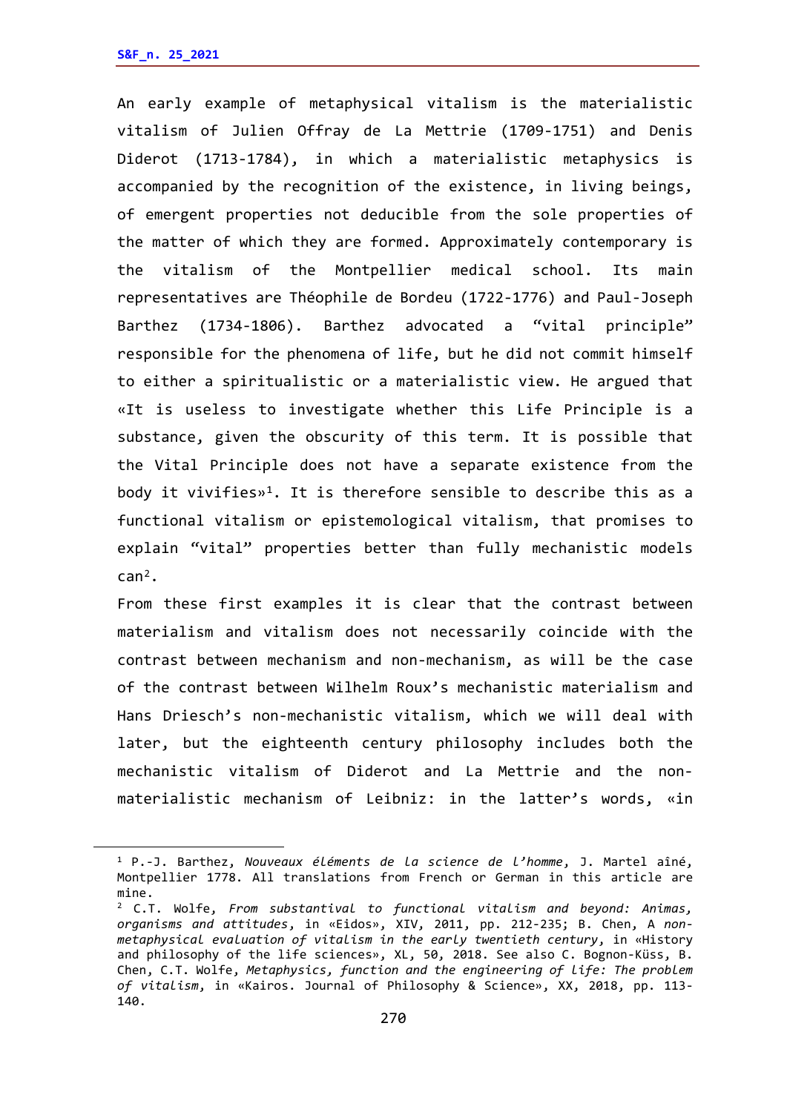An early example of metaphysical vitalism is the materialistic vitalism of Julien Offray de La Mettrie (1709-1751) and Denis Diderot (1713-1784), in which a materialistic metaphysics is accompanied by the recognition of the existence, in living beings, of emergent properties not deducible from the sole properties of the matter of which they are formed. Approximately contemporary is the vitalism of the Montpellier medical school. Its main representatives are Théophile de Bordeu (1722-1776) and Paul-Joseph Barthez (1734-1806). Barthez advocated a "vital principle" responsible for the phenomena of life, but he did not commit himself to either a spiritualistic or a materialistic view. He argued that «It is useless to investigate whether this Life Principle is a substance, given the obscurity of this term. It is possible that the Vital Principle does not have a separate existence from the body it vivifies»<sup>[1](#page-1-0)</sup>. It is therefore sensible to describe this as a functional vitalism or epistemological vitalism, that promises to explain "vital" properties better than fully mechanistic models can[2.](#page-1-1)

From these first examples it is clear that the contrast between materialism and vitalism does not necessarily coincide with the contrast between mechanism and non-mechanism, as will be the case of the contrast between Wilhelm Roux's mechanistic materialism and Hans Driesch's non-mechanistic vitalism, which we will deal with later, but the eighteenth century philosophy includes both the mechanistic vitalism of Diderot and La Mettrie and the nonmaterialistic mechanism of Leibniz: in the latter's words, «in

<span id="page-1-0"></span><sup>1</sup> P.-J. Barthez, *Nouveaux éléments de la science de l'homme*, J. Martel aîné, Montpellier 1778. All translations from French or German in this article are mine.

<span id="page-1-1"></span><sup>2</sup> C.T. Wolfe, *From substantival to functional vitalism and beyond: Animas, organisms and attitudes*, in «Eidos», XIV, 2011, pp. 212-235; B. Chen, A *[non](https://link.springer.com/article/10.1007/s40656-018-0221-2)[metaphysical evaluation of vitalism in the early twentieth century](https://link.springer.com/article/10.1007/s40656-018-0221-2)*, in «History and philosophy of the life sciences», XL, 50, 2018. See also C. Bognon-Küss, B. Chen, C.T. Wolfe, *Metaphysics, function and the engineering of life: The problem of vitalism*, in «Kairos. Journal of Philosophy & Science», XX, 2018, pp. 113- 140.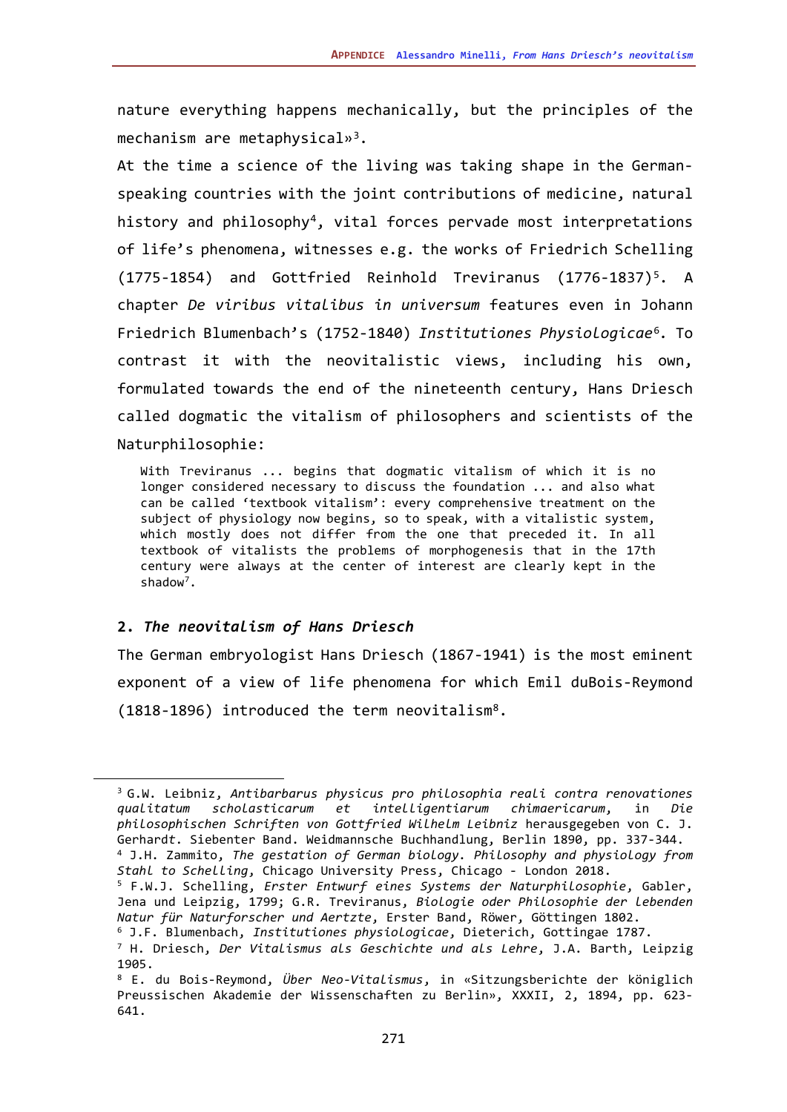nature everything happens mechanically, but the principles of the mechanism are metaphysical»<sup>3</sup>.

At the time a science of the living was taking shape in the Germanspeaking countries with the joint contributions of medicine, natural history and philosophy<sup>[4](#page-2-1)</sup>, vital forces pervade most interpretations of life's phenomena, witnesses e.g. the works of Friedrich Schelling  $(1775-1854)$  and Gottfried Reinhold Treviranus  $(1776-1837)^5$ . A chapter *De viribus vitalibus in universum* features even in Johann Friedrich Blumenbach's (1752-1840) *Institutiones Physiologicae*[6](#page-2-3)*.* To contrast it with the neovitalistic views, including his own, formulated towards the end of the nineteenth century, Hans Driesch called dogmatic the vitalism of philosophers and scientists of the Naturphilosophie:

With Treviranus ... begins that dogmatic vitalism of which it is no longer considered necessary to discuss the foundation ... and also what can be called 'textbook vitalism': every comprehensive treatment on the subject of physiology now begins, so to speak, with a vitalistic system, which mostly does not differ from the one that preceded it. In all textbook of vitalists the problems of morphogenesis that in the 17th century were always at the center of interest are clearly kept in the shadow<sup>[7](#page-2-4)</sup>.

### **2.** *The neovitalism of Hans Driesch*

The German embryologist Hans Driesch (1867-1941) is the most eminent exponent of a view of life phenomena for which Emil duBois-Reymond (1818-1896) introduced the term neovitalism[8.](#page-2-5)

<span id="page-2-0"></span><sup>3</sup> G.W. Leibniz, *Antibarbarus physicus pro philosophia reali contra renovationes qualitatum scholasticarum et intelligentiarum chimaericarum*, in *Die philosophischen Schriften von Gottfried Wilhelm Leibniz* herausgegeben von C. J. Gerhard*t*. Siebenter Band. Weidmannsche Buchhandlung, Berlin 1890, pp. 337-344. <sup>4</sup> J.H. Zammito, *The gestation of German biology. Philosophy and physiology from Stahl to Schelling*, Chicago University Press, Chicago - London 2018.

<span id="page-2-2"></span><span id="page-2-1"></span><sup>5</sup> F.W.J. Schelling, *Erster Entwurf eines Systems der Naturphilosophie*, Gabler, Jena und Leipzig, 1799; G.R. Treviranus, *Biologie oder Philosophie der lebenden Natur für Naturforscher und Aertzte*, Erster Band, Röwer, Göttingen 1802.

<span id="page-2-3"></span><sup>6</sup> J.F. Blumenbach, *Institutiones physiologicae*, Dieterich, Gottingae 1787.

<span id="page-2-4"></span><sup>7</sup> H. Driesch, *Der Vitalismus als Geschichte und als Lehre*, J.A. Barth, Leipzig 1905.

<span id="page-2-5"></span><sup>8</sup> E. du Bois-Reymond, *Über Neo-Vitalismus*, in «Sitzungsberichte der königlich Preussischen Akademie der Wissenschaften zu Berlin», XXXII, 2, 1894, pp. 623- 641.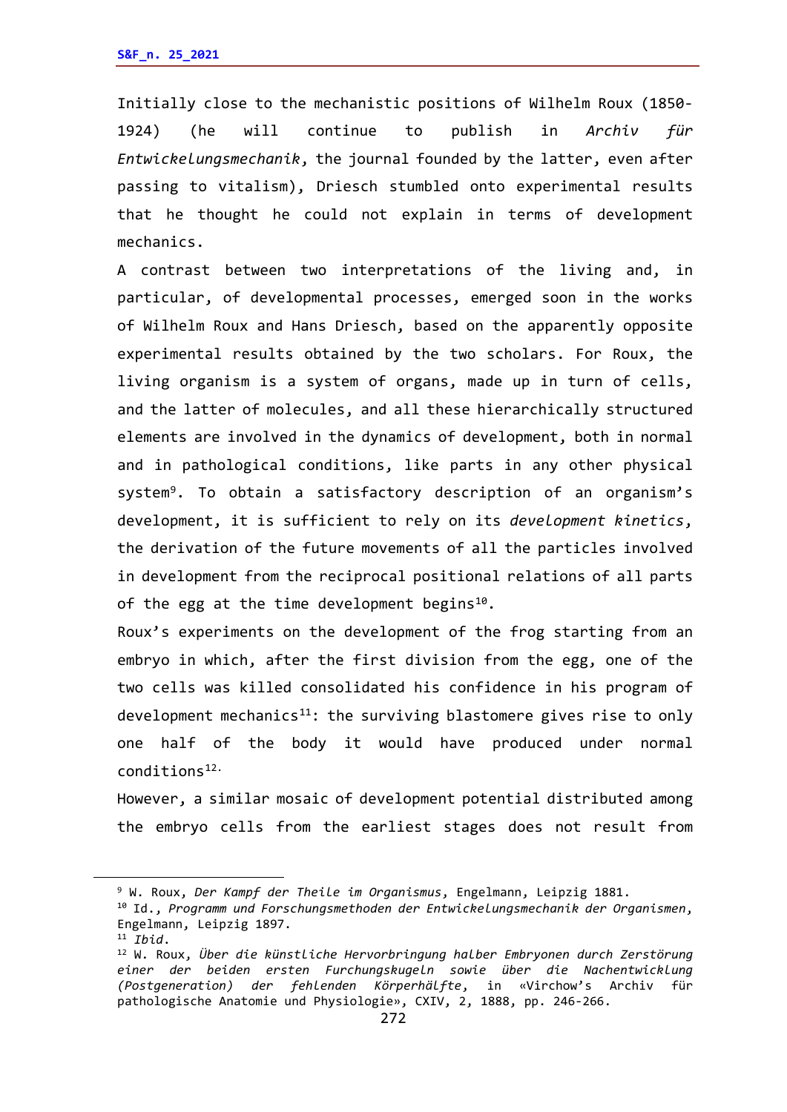Initially close to the mechanistic positions of Wilhelm Roux (1850- 1924) (he will continue to publish in *Archiv für Entwickelungsmechanik*, the journal founded by the latter, even after passing to vitalism), Driesch stumbled onto experimental results that he thought he could not explain in terms of development mechanics.

A contrast between two interpretations of the living and, in particular, of developmental processes, emerged soon in the works of Wilhelm Roux and Hans Driesch, based on the apparently opposite experimental results obtained by the two scholars. For Roux, the living organism is a system of organs, made up in turn of cells, and the latter of molecules, and all these hierarchically structured elements are involved in the dynamics of development, both in normal and in pathological conditions, like parts in any other physical system<sup>[9](#page-3-0)</sup>. To obtain a satisfactory description of an organism's development, it is sufficient to rely on its *development kinetics*, the derivation of the future movements of all the particles involved in development from the reciprocal positional relations of all parts of the egg at the time development begins<sup>10</sup>.

Roux's experiments on the development of the frog starting from an embryo in which, after the first division from the egg, one of the two cells was killed consolidated his confidence in his program of development mechanics $^{11}$ : the surviving blastomere gives rise to only one half of the body it would have produced under normal conditions[12](#page-3-3).

However, a similar mosaic of development potential distributed among the embryo cells from the earliest stages does not result from

<span id="page-3-0"></span><sup>9</sup> W. Roux, *Der Kampf der Theile im Organismus*, Engelmann, Leipzig 1881.

<span id="page-3-1"></span><sup>10</sup> Id., *Programm und Forschungsmethoden der Entwickelungsmechanik der Organismen*, Engelmann, Leipzig 1897.

<span id="page-3-2"></span><sup>11</sup> *Ibid*.

<span id="page-3-3"></span><sup>12</sup> W. Roux, *Über die künstliche Hervorbringung halber Embryonen durch Zerstörung einer der beiden ersten Furchungskugeln sowie über die Nachentwicklung (Postgeneration) der fehlenden Körperhälfte*, in «Virchow's Archiv für pathologische Anatomie und Physiologie», CXIV, 2, 1888, pp. 246-266.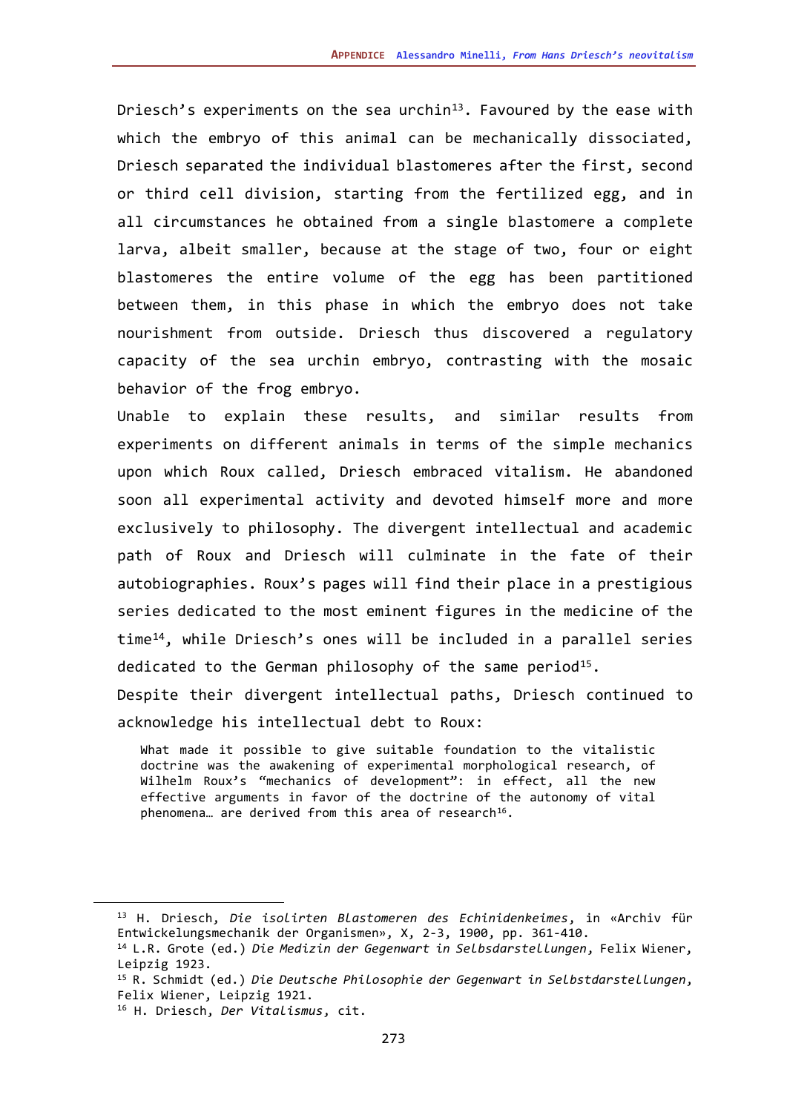Driesch's experiments on the sea urchin<sup>13</sup>. Favoured by the ease with which the embryo of this animal can be mechanically dissociated, Driesch separated the individual blastomeres after the first, second or third cell division, starting from the fertilized egg, and in all circumstances he obtained from a single blastomere a complete larva, albeit smaller, because at the stage of two, four or eight blastomeres the entire volume of the egg has been partitioned between them, in this phase in which the embryo does not take nourishment from outside. Driesch thus discovered a regulatory capacity of the sea urchin embryo, contrasting with the mosaic behavior of the frog embryo.

Unable to explain these results, and similar results from experiments on different animals in terms of the simple mechanics upon which Roux called, Driesch embraced vitalism. He abandoned soon all experimental activity and devoted himself more and more exclusively to philosophy. The divergent intellectual and academic path of Roux and Driesch will culminate in the fate of their autobiographies. Roux's pages will find their place in a prestigious series dedicated to the most eminent figures in the medicine of the time[14,](#page-4-1) while Driesch's ones will be included in a parallel series dedicated to the German philosophy of the same period<sup>15</sup>. Despite their divergent intellectual paths, Driesch continued to

acknowledge his intellectual debt to Roux:

What made it possible to give suitable foundation to the vitalistic doctrine was the awakening of experimental morphological research, of Wilhelm Roux's "mechanics of development": in effect, all the new effective arguments in favor of the doctrine of the autonomy of vital phenomena... are derived from this area of research<sup>[16](#page-4-3)</sup>.

<span id="page-4-0"></span><sup>13</sup> H. Driesch, *Die isolirten Blastomeren des Echinidenkeimes*, in «Archiv für Entwickelungsmechanik der Organismen», X, 2-3, 1900, pp. 361-410.

<span id="page-4-1"></span><sup>14</sup> L.R. Grote (ed.) *Die Medizin der Gegenwart in Selbsdarstellungen*, Felix Wiener, Leipzig 1923.

<span id="page-4-2"></span><sup>15</sup> R. Schmidt (ed.) *Die Deutsche Philosophie der Gegenwart in Selbstdarstellungen*, Felix Wiener, Leipzig 1921.

<span id="page-4-3"></span><sup>16</sup> H. Driesch, *Der Vitalismus*, cit.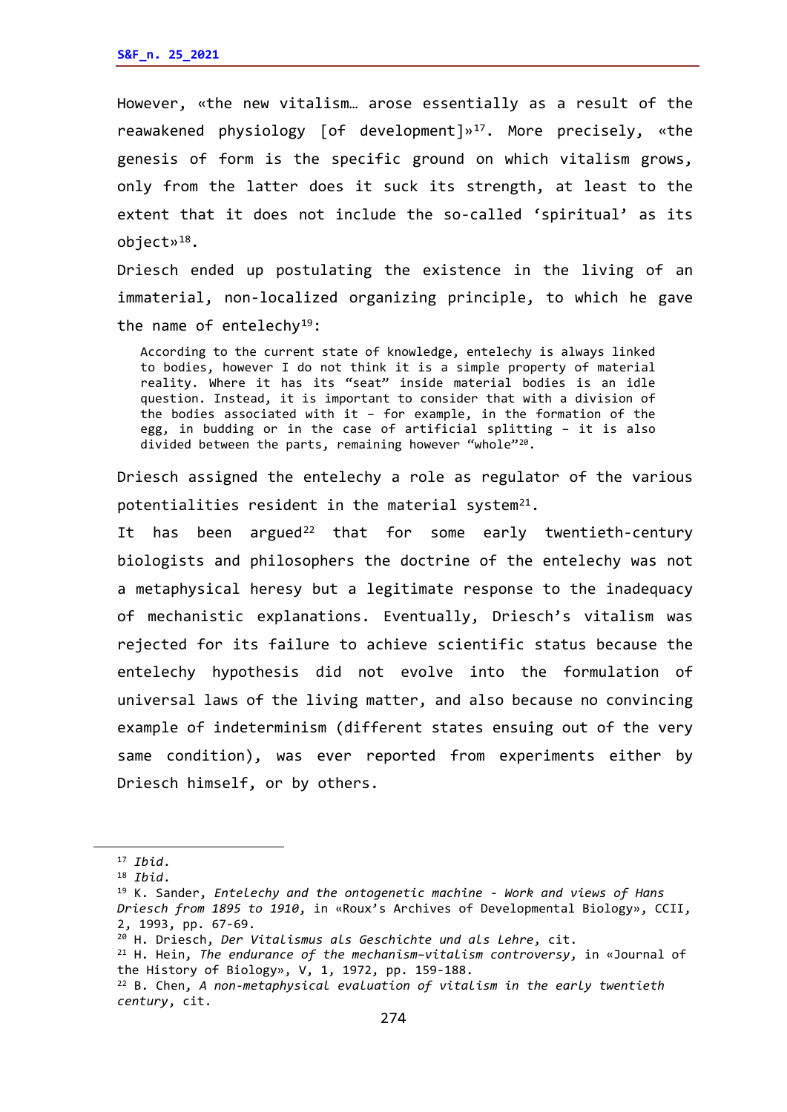However, «the new vitalism… arose essentially as a result of the reawakened physiology [of development]»[17](#page-5-0). More precisely, «the genesis of form is the specific ground on which vitalism grows, only from the latter does it suck its strength, at least to the extent that it does not include the so-called 'spiritual' as its object»[18](#page-5-1).

Driesch ended up postulating the existence in the living of an immaterial, non-localized organizing principle, to which he gave the name of entelechy<sup>19</sup>:

According to the current state of knowledge, entelechy is always linked to bodies, however I do not think it is a simple property of material reality. Where it has its "seat" inside material bodies is an idle question. Instead, it is important to consider that with a division of the bodies associated with it – for example, in the formation of the egg, in budding or in the case of artificial splitting – it is also divided between the parts, remaining however "whole"<sup>20</sup>.

Driesch assigned the entelechy a role as regulator of the various potentialities resident in the material system $21$ .

It has been argued<sup>[22](#page-5-5)</sup> that for some early twentieth-century biologists and philosophers the doctrine of the entelechy was not a metaphysical heresy but a legitimate response to the inadequacy of mechanistic explanations. Eventually, Driesch's vitalism was rejected for its failure to achieve scientific status because the entelechy hypothesis did not evolve into the formulation of universal laws of the living matter, and also because no convincing example of indeterminism (different states ensuing out of the very same condition), was ever reported from experiments either by Driesch himself, or by others.

<span id="page-5-0"></span><sup>17</sup> *Ibid*.

<sup>18</sup> *Ibid*.

<span id="page-5-2"></span><span id="page-5-1"></span><sup>19</sup> K. Sander, *Entelechy and the ontogenetic machine - Work and views of Hans Driesch from 1895 to 1910*, in «Roux's Archives of Developmental Biology», CCII, 2, 1993, pp. 67-69.

<span id="page-5-3"></span><sup>20</sup> H. Driesch, *Der Vitalismus als Geschichte und als Lehre*, cit.

<span id="page-5-4"></span><sup>21</sup> H. Hein, *The endurance of the mechanism–vitalism controversy*, in «Journal of the History of Biology», V, 1, 1972, pp. 159-188.

<span id="page-5-5"></span><sup>22</sup> B. Chen, *[A non-metaphysical evaluation of vitalism in](https://link.springer.com/article/10.1007/s40656-018-0221-2) the early twentieth [century](https://link.springer.com/article/10.1007/s40656-018-0221-2)*, cit.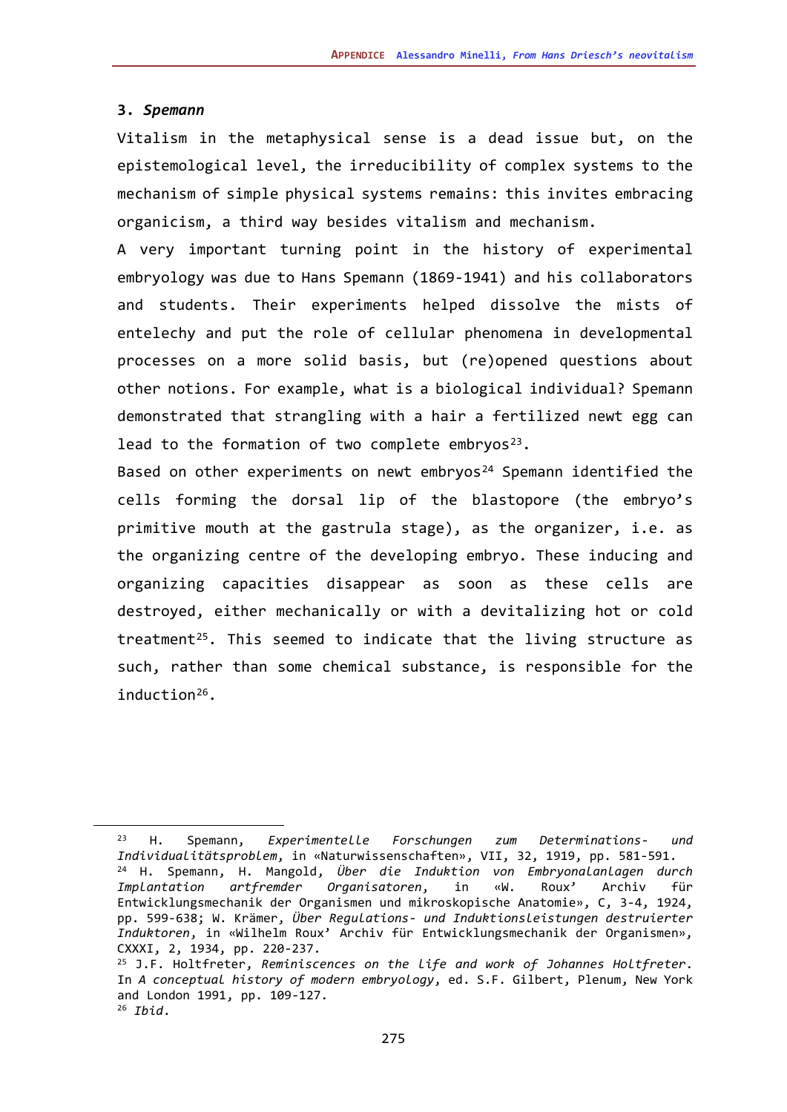#### **3.** *Spemann*

Vitalism in the metaphysical sense is a dead issue but, on the epistemological level, the irreducibility of complex systems to the mechanism of simple physical systems remains: this invites embracing organicism, a third way besides vitalism and mechanism.

A very important turning point in the history of experimental embryology was due to Hans Spemann (1869-1941) and his collaborators and students. Their experiments helped dissolve the mists of entelechy and put the role of cellular phenomena in developmental processes on a more solid basis, but (re)opened questions about other notions. For example, what is a biological individual? Spemann demonstrated that strangling with a hair a fertilized newt egg can lead to the formation of two complete embryos<sup>[23](#page-6-0)</sup>.

Based on other experiments on newt embryos<sup>[24](#page-6-1)</sup> Spemann identified the cells forming the dorsal lip of the blastopore (the embryo's primitive mouth at the gastrula stage), as the organizer, i.e. as the organizing centre of the developing embryo. These inducing and organizing capacities disappear as soon as these cells are destroyed, either mechanically or with a devitalizing hot or cold treatment<sup>25</sup>. This seemed to indicate that the living structure as such, rather than some chemical substance, is responsible for the induction[26.](#page-6-3)

<span id="page-6-1"></span><span id="page-6-0"></span><sup>23</sup> H. Spemann, *Experimentelle Forschungen zum Determinations- und Individualitätsproblem*, in «Naturwissenschaften», VII, 32, 1919, pp. 581-591. <sup>24</sup> H. Spemann, H. Mangold, *Über die Induktion von Embryonalanlagen durch Implantation artfremder Organisatoren*, in «W. Roux' Archiv für Entwicklungsmechanik der Organismen und mikroskopische Anatomie», C, 3-4, 1924, pp. 599-638; W. Krämer, *Über Regulations- und Induktionsleistungen destruierter Induktoren*, in «Wilhelm Roux' Archiv für Entwicklungsmechanik der Organismen», CXXXI, 2, 1934, pp. 220-237.

<span id="page-6-3"></span><span id="page-6-2"></span><sup>25</sup> J.F. Holtfreter, *Reminiscences on the life and work of Johannes Holtfreter*. In *A conceptual history of modern embryology*, ed. S.F. Gilbert, Plenum, New York and London 1991, pp. 109-127. <sup>26</sup> *Ibid*.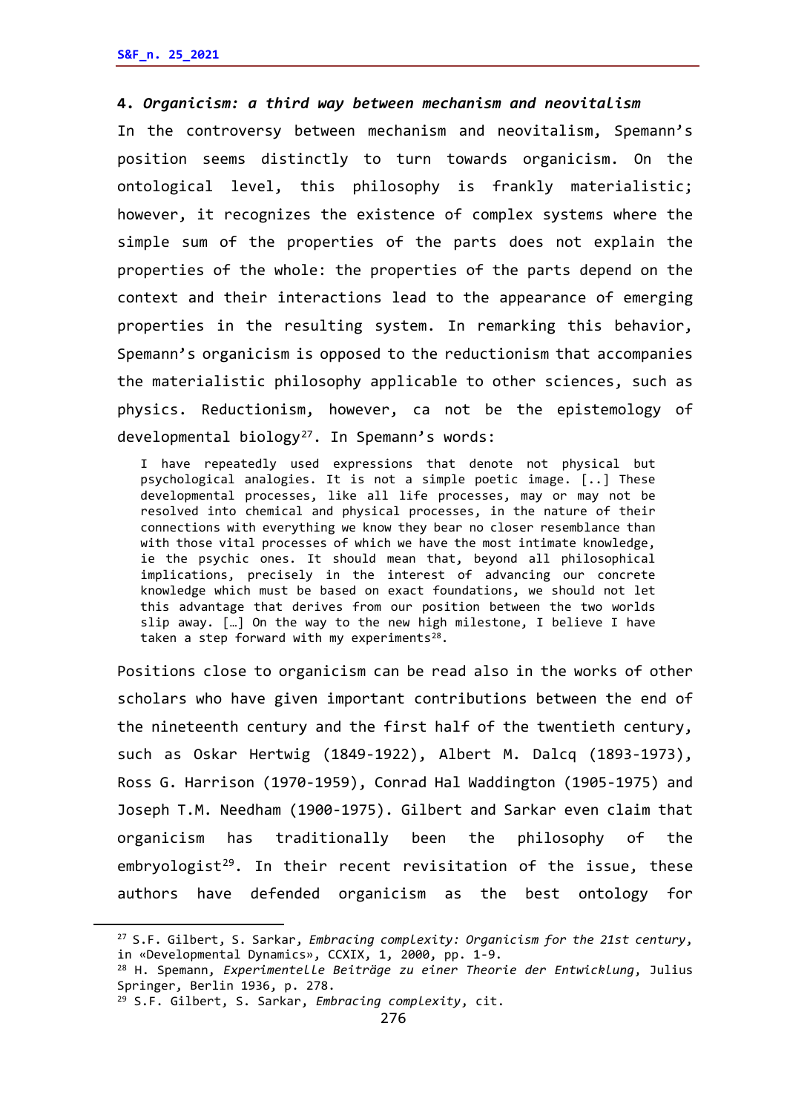#### **4.** *Organicism: a third way between mechanism and neovitalism*

In the controversy between mechanism and neovitalism, Spemann's position seems distinctly to turn towards organicism. On the ontological level, this philosophy is frankly materialistic; however, it recognizes the existence of complex systems where the simple sum of the properties of the parts does not explain the properties of the whole: the properties of the parts depend on the context and their interactions lead to the appearance of emerging properties in the resulting system. In remarking this behavior, Spemann's organicism is opposed to the reductionism that accompanies the materialistic philosophy applicable to other sciences, such as physics. Reductionism, however, ca not be the epistemology of developmental biology<sup>27</sup>. In Spemann's words:

I have repeatedly used expressions that denote not physical but psychological analogies. It is not a simple poetic image. [..] These developmental processes, like all life processes, may or may not be resolved into chemical and physical processes, in the nature of their connections with everything we know they bear no closer resemblance than with those vital processes of which we have the most intimate knowledge, ie the psychic ones. It should mean that, beyond all philosophical implications, precisely in the interest of advancing our concrete knowledge which must be based on exact foundations, we should not let this advantage that derives from our position between the two worlds slip away. […] On the way to the new high milestone, I believe I have taken a step forward with my experiments $^{28}$ .

Positions close to organicism can be read also in the works of other scholars who have given important contributions between the end of the nineteenth century and the first half of the twentieth century, such as Oskar Hertwig (1849-1922), Albert M. Dalcq (1893-1973), Ross G. Harrison (1970-1959), Conrad Hal Waddington (1905-1975) and Joseph T.M. Needham (1900-1975). Gilbert and Sarkar even claim that organicism has traditionally been the philosophy of the embryologist<sup>29</sup>. In their recent revisitation of the issue, these authors have defended organicism as the best ontology for

<span id="page-7-0"></span><sup>27</sup> S.F. Gilbert, S. Sarkar, *Embracing complexity: Organicism for the 21st century*, in «Developmental Dynamics», CCXIX, 1, 2000, pp. 1-9.

<span id="page-7-1"></span><sup>28</sup> H. Spemann, *Experimentelle Beiträge zu einer Theorie der Entwicklung*, Julius Springer, Berlin 1936, p. 278.

<span id="page-7-2"></span><sup>29</sup> S.F. Gilbert, S. Sarkar, *Embracing complexity*, cit.